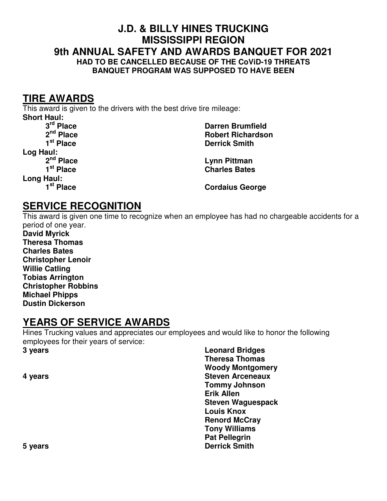#### **J.D. & BILLY HINES TRUCKING MISSISSIPPI REGION 9th ANNUAL SAFETY AND AWARDS BANQUET FOR 2021 HAD TO BE CANCELLED BECAUSE OF THE CoViD-19 THREATS BANQUET PROGRAM WAS SUPPOSED TO HAVE BEEN**

#### **TIRE AWARDS**

This award is given to the drivers with the best drive tire mileage:

**Short Haul:**<br><sup>3rd</sup> Place **Log Haul: Long Haul:** 

 **3rd Place Darren Brumfield 2nd Place Robert Richardson Derrick Smith** 

 **2nd Place Lynn Pittman**  *Charles Bates* 

**Cordaius George** 

## **SERVICE RECOGNITION**

This award is given one time to recognize when an employee has had no chargeable accidents for a period of one year.

**David Myrick Theresa Thomas Charles Bates Christopher Lenoir Willie Catling Tobias Arrington Christopher Robbins Michael Phipps Dustin Dickerson** 

## **YEARS OF SERVICE AWARDS**

Hines Trucking values and appreciates our employees and would like to honor the following employees for their years of service:

**3 years Leonard Bridges Theresa Thomas Woody Montgomery 4 years Steven Arceneaux Steven Arceneaux Tommy Johnson Erik Allen Steven Waguespack Louis Knox Renord McCray Tony Williams Pat Pellegrin 5 years Derrick Smith**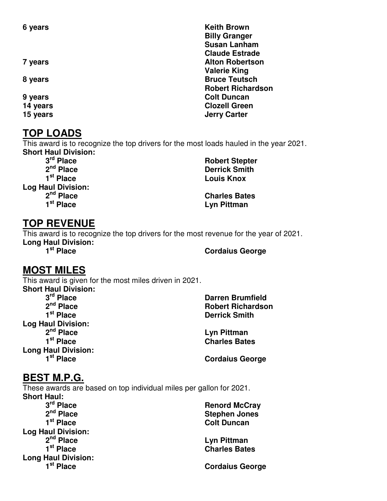#### **TOP LOADS**

This award is to recognize the top drivers for the most loads hauled in the year 2021. **Short Haul Division:** 

**Log Haul Division:** 

## **TOP REVENUE**

This award is to recognize the top drivers for the most revenue for the year of 2021. **Long Haul Division:** 

#### **Cordaius George**

## **MOST MILES**

This award is given for the most miles driven in 2021. **Short Haul Division:**  3<sup>rd</sup> Place<br>2<sup>nd</sup> Place  **2nd Place Robert Richardson Log Haul Division: 2nd Place Lyn Pittman Long Haul Division:** 

**Darren Brumfield Derrick Smith** 

**Charles Bates** 

**Cordaius George** 

## **BEST M.P.G.**

These awards are based on top individual miles per gallon for 2021. **Short Haul:** 

| 3rd Place                  | <b>Renord McCray</b>   |
|----------------------------|------------------------|
| $2nd$ Place                | <b>Stephen Jones</b>   |
| 1 <sup>st</sup> Place      | <b>Colt Duncan</b>     |
| <b>Log Haul Division:</b>  |                        |
| $2nd$ Place                | Lyn Pittman            |
| 1 <sup>st</sup> Place      | <b>Charles Bates</b>   |
| <b>Long Haul Division:</b> |                        |
| 1 <sup>st</sup> Place      | <b>Cordaius George</b> |
|                            |                        |

**6 years 6 years Keith Brown Billy Granger Susan Lanham Claude Estrade 7 years Alton Robertson 2018 Alton Robertson Valerie King 8 years Bruce Teutsch Robert Richardson 9 years Colt Duncan Colt Duncan 14 years Clozell Green 15 years General Contract Contract Contract Contract Contract Contract Contract Contract Contract Contract Contract Contract Contract Contract Contract Contract Contract Contract Contract Contract Contract Contract Contra** 

3<sup>rd</sup> Place Robert Stepter<br>2<sup>nd</sup> Place 2<sup>nd</sup> Place **Robert Stepter 2nd Place Derrick Smith Louis Knox** 

 **2nd Place Charles Bates Lyn Pittman**